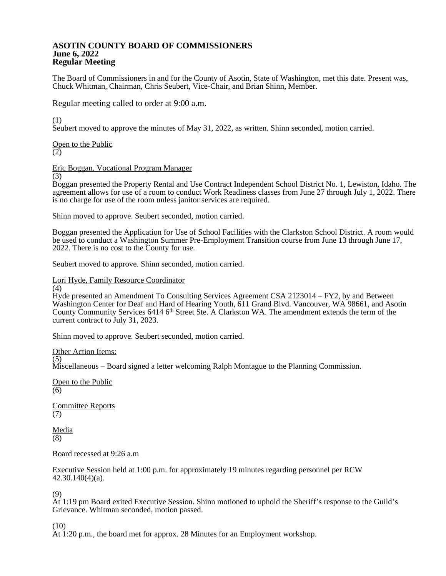## **ASOTIN COUNTY BOARD OF COMMISSIONERS June 6, 2022 Regular Meeting**

The Board of Commissioners in and for the County of Asotin, State of Washington, met this date. Present was, Chuck Whitman, Chairman, Chris Seubert, Vice-Chair, and Brian Shinn, Member.

Regular meeting called to order at 9:00 a.m.

(1)

Seubert moved to approve the minutes of May 31, 2022, as written. Shinn seconded, motion carried.

Open to the Public  $(2)$ 

Eric Boggan, Vocational Program Manager

(3)

Boggan presented the Property Rental and Use Contract Independent School District No. 1, Lewiston, Idaho. The agreement allows for use of a room to conduct Work Readiness classes from June 27 through July 1, 2022. There is no charge for use of the room unless janitor services are required.

Shinn moved to approve. Seubert seconded, motion carried.

Boggan presented the Application for Use of School Facilities with the Clarkston School District. A room would be used to conduct a Washington Summer Pre-Employment Transition course from June 13 through June 17, 2022. There is no cost to the County for use.

Seubert moved to approve. Shinn seconded, motion carried.

## Lori Hyde, Family Resource Coordinator

(4)

Hyde presented an Amendment To Consulting Services Agreement CSA 2123014 – FY2, by and Between Washington Center for Deaf and Hard of Hearing Youth, 611 Grand Blvd. Vancouver, WA 98661, and Asotin County Community Services 6414 6<sup>th</sup> Street Ste. A Clarkston WA. The amendment extends the term of the current contract to July 31, 2023.

Shinn moved to approve. Seubert seconded, motion carried.

Other Action Items:

(5) Miscellaneous – Board signed a letter welcoming Ralph Montague to the Planning Commission.

Open to the Public (6)

Committee Reports (7)

Media (8)

Board recessed at 9:26 a.m

Executive Session held at 1:00 p.m. for approximately 19 minutes regarding personnel per RCW 42.30.140(4)(a).

(9)

At 1:19 pm Board exited Executive Session. Shinn motioned to uphold the Sheriff's response to the Guild's Grievance. Whitman seconded, motion passed.

(10)

At 1:20 p.m., the board met for approx. 28 Minutes for an Employment workshop.